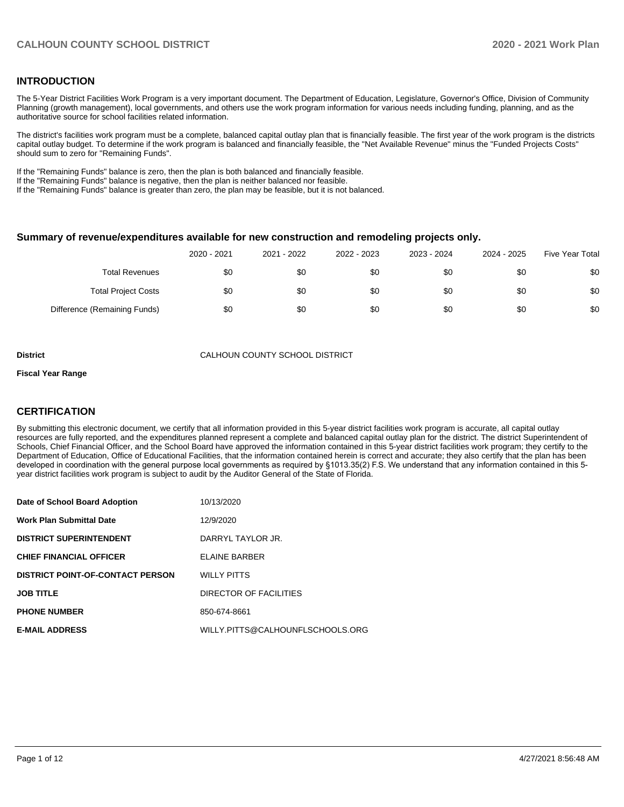# **INTRODUCTION**

The 5-Year District Facilities Work Program is a very important document. The Department of Education, Legislature, Governor's Office, Division of Community Planning (growth management), local governments, and others use the work program information for various needs including funding, planning, and as the authoritative source for school facilities related information.

The district's facilities work program must be a complete, balanced capital outlay plan that is financially feasible. The first year of the work program is the districts capital outlay budget. To determine if the work program is balanced and financially feasible, the "Net Available Revenue" minus the "Funded Projects Costs" should sum to zero for "Remaining Funds".

If the "Remaining Funds" balance is zero, then the plan is both balanced and financially feasible.

If the "Remaining Funds" balance is negative, then the plan is neither balanced nor feasible.

If the "Remaining Funds" balance is greater than zero, the plan may be feasible, but it is not balanced.

#### **Summary of revenue/expenditures available for new construction and remodeling projects only.**

| <b>Five Year Total</b> | 2024 - 2025 | 2023 - 2024 | 2022 - 2023 | 2021 - 2022 | 2020 - 2021 |                              |
|------------------------|-------------|-------------|-------------|-------------|-------------|------------------------------|
| \$0                    | \$0         | \$0         | \$0         | \$0         | \$0         | <b>Total Revenues</b>        |
| \$0                    | \$0         | \$0         | \$0         | \$0         | \$0         | <b>Total Project Costs</b>   |
| \$0                    | \$0         | \$0         | \$0         | \$0         | \$0         | Difference (Remaining Funds) |

**District** CALHOUN COUNTY SCHOOL DISTRICT

#### **Fiscal Year Range**

# **CERTIFICATION**

By submitting this electronic document, we certify that all information provided in this 5-year district facilities work program is accurate, all capital outlay resources are fully reported, and the expenditures planned represent a complete and balanced capital outlay plan for the district. The district Superintendent of Schools, Chief Financial Officer, and the School Board have approved the information contained in this 5-year district facilities work program; they certify to the Department of Education, Office of Educational Facilities, that the information contained herein is correct and accurate; they also certify that the plan has been developed in coordination with the general purpose local governments as required by §1013.35(2) F.S. We understand that any information contained in this 5 year district facilities work program is subject to audit by the Auditor General of the State of Florida.

| Date of School Board Adoption           | 10/13/2020                       |
|-----------------------------------------|----------------------------------|
| <b>Work Plan Submittal Date</b>         | 12/9/2020                        |
| <b>DISTRICT SUPERINTENDENT</b>          | DARRYL TAYLOR JR.                |
| <b>CHIEF FINANCIAL OFFICER</b>          | <b>ELAINE BARBER</b>             |
| <b>DISTRICT POINT-OF-CONTACT PERSON</b> | <b>WILLY PITTS</b>               |
| <b>JOB TITLE</b>                        | DIRECTOR OF FACILITIES           |
| <b>PHONE NUMBER</b>                     | 850-674-8661                     |
| <b>E-MAIL ADDRESS</b>                   | WILLY.PITTS@CALHOUNFLSCHOOLS.ORG |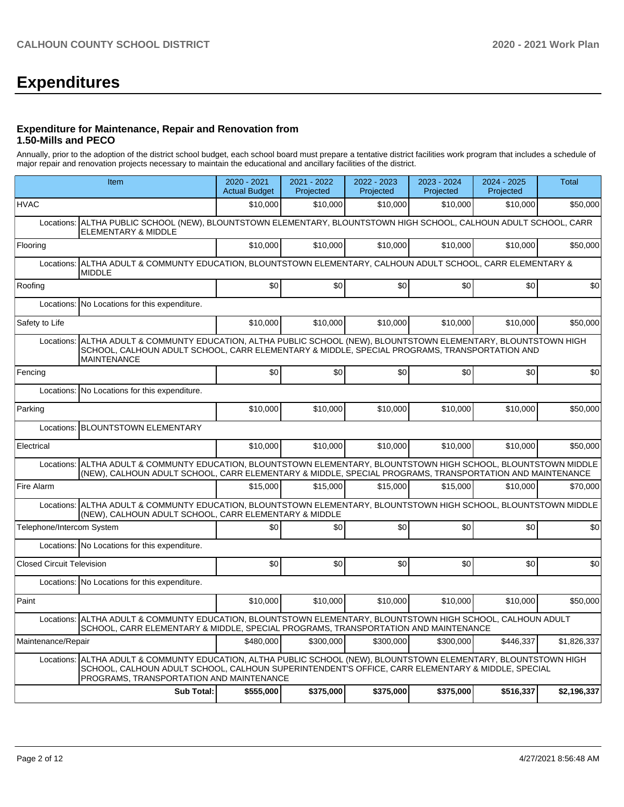# **Expenditures**

# **Expenditure for Maintenance, Repair and Renovation from 1.50-Mills and PECO**

Annually, prior to the adoption of the district school budget, each school board must prepare a tentative district facilities work program that includes a schedule of major repair and renovation projects necessary to maintain the educational and ancillary facilities of the district.

|                                  | Item                                                                                                                                                                                                                                                  | 2020 - 2021<br><b>Actual Budget</b> | 2021 - 2022<br>Projected | 2022 - 2023<br>Projected | 2023 - 2024<br>Projected | 2024 - 2025<br>Projected | <b>Total</b> |  |  |  |
|----------------------------------|-------------------------------------------------------------------------------------------------------------------------------------------------------------------------------------------------------------------------------------------------------|-------------------------------------|--------------------------|--------------------------|--------------------------|--------------------------|--------------|--|--|--|
| <b>HVAC</b>                      |                                                                                                                                                                                                                                                       | \$10,000                            | \$10,000                 | \$10,000                 | \$10,000                 | \$10,000                 | \$50,000     |  |  |  |
| Locations:                       | ALTHA PUBLIC SCHOOL (NEW), BLOUNTSTOWN ELEMENTARY, BLOUNTSTOWN HIGH SCHOOL, CALHOUN ADULT SCHOOL, CARR<br><b>ELEMENTARY &amp; MIDDLE</b>                                                                                                              |                                     |                          |                          |                          |                          |              |  |  |  |
| Flooring                         |                                                                                                                                                                                                                                                       | \$10,000                            | \$10,000                 | \$10,000                 | \$10,000                 | \$10,000                 | \$50,000     |  |  |  |
| Locations:                       | ALTHA ADULT & COMMUNTY EDUCATION, BLOUNTSTOWN ELEMENTARY, CALHOUN ADULT SCHOOL, CARR ELEMENTARY &<br><b>MIDDLE</b>                                                                                                                                    |                                     |                          |                          |                          |                          |              |  |  |  |
| Roofing                          |                                                                                                                                                                                                                                                       | \$0                                 | \$0                      | \$0                      | \$0                      | \$0                      | \$0          |  |  |  |
|                                  | Locations: No Locations for this expenditure.                                                                                                                                                                                                         |                                     |                          |                          |                          |                          |              |  |  |  |
| Safety to Life                   |                                                                                                                                                                                                                                                       | \$10,000                            | \$10,000                 | \$10,000                 | \$10,000                 | \$10,000                 | \$50,000     |  |  |  |
| Locations:                       | ALTHA ADULT & COMMUNTY EDUCATION, ALTHA PUBLIC SCHOOL (NEW), BLOUNTSTOWN ELEMENTARY, BLOUNTSTOWN HIGH<br>SCHOOL, CALHOUN ADULT SCHOOL, CARR ELEMENTARY & MIDDLE, SPECIAL PROGRAMS, TRANSPORTATION AND<br><b>MAINTENANCE</b>                           |                                     |                          |                          |                          |                          |              |  |  |  |
| Fencing                          |                                                                                                                                                                                                                                                       | \$0                                 | \$0                      | \$0                      | \$0                      | \$0                      | \$0          |  |  |  |
| Locations:                       | No Locations for this expenditure.                                                                                                                                                                                                                    |                                     |                          |                          |                          |                          |              |  |  |  |
| Parking                          |                                                                                                                                                                                                                                                       | \$10,000                            | \$10,000                 | \$10,000                 | \$10,000                 | \$10,000                 | \$50,000     |  |  |  |
| Locations:                       | <b>BLOUNTSTOWN ELEMENTARY</b>                                                                                                                                                                                                                         |                                     |                          |                          |                          |                          |              |  |  |  |
| Electrical                       |                                                                                                                                                                                                                                                       | \$10,000                            | \$10,000                 | \$10,000                 | \$10,000                 | \$10,000                 | \$50,000     |  |  |  |
| Locations:                       | ALTHA ADULT & COMMUNTY EDUCATION, BLOUNTSTOWN ELEMENTARY, BLOUNTSTOWN HIGH SCHOOL, BLOUNTSTOWN MIDDLE<br>(NEW), CALHOUN ADULT SCHOOL, CARR ELEMENTARY & MIDDLE, SPECIAL PROGRAMS, TRANSPORTATION AND MAINTENANCE                                      |                                     |                          |                          |                          |                          |              |  |  |  |
| Fire Alarm                       |                                                                                                                                                                                                                                                       | \$15,000                            | \$15,000                 | \$15,000                 | \$15,000                 | \$10,000                 | \$70,000     |  |  |  |
| Locations:                       | ALTHA ADULT & COMMUNTY EDUCATION, BLOUNTSTOWN ELEMENTARY, BLOUNTSTOWN HIGH SCHOOL, BLOUNTSTOWN MIDDLE<br>(NEW), CALHOUN ADULT SCHOOL, CARR ELEMENTARY & MIDDLE                                                                                        |                                     |                          |                          |                          |                          |              |  |  |  |
| Telephone/Intercom System        |                                                                                                                                                                                                                                                       | \$0                                 | \$0                      | \$0                      | \$0                      | \$0                      | \$0          |  |  |  |
|                                  | Locations: No Locations for this expenditure.                                                                                                                                                                                                         |                                     |                          |                          |                          |                          |              |  |  |  |
| <b>Closed Circuit Television</b> |                                                                                                                                                                                                                                                       | \$0                                 | \$0                      | \$0                      | \$0                      | \$0                      | \$0          |  |  |  |
|                                  | Locations: No Locations for this expenditure.                                                                                                                                                                                                         |                                     |                          |                          |                          |                          |              |  |  |  |
| Paint                            |                                                                                                                                                                                                                                                       | \$10,000                            | \$10,000                 | \$10,000                 | \$10,000                 | \$10,000                 | \$50,000     |  |  |  |
| Locations:                       | ALTHA ADULT & COMMUNTY EDUCATION, BLOUNTSTOWN ELEMENTARY, BLOUNTSTOWN HIGH SCHOOL, CALHOUN ADULT<br>SCHOOL, CARR ELEMENTARY & MIDDLE, SPECIAL PROGRAMS, TRANSPORTATION AND MAINTENANCE                                                                |                                     |                          |                          |                          |                          |              |  |  |  |
| Maintenance/Repair               |                                                                                                                                                                                                                                                       | \$480,000                           | \$300,000                | \$300,000                | \$300,000                | \$446,337                | \$1,826,337  |  |  |  |
| Locations:                       | ALTHA ADULT & COMMUNTY EDUCATION, ALTHA PUBLIC SCHOOL (NEW), BLOUNTSTOWN ELEMENTARY, BLOUNTSTOWN HIGH<br>SCHOOL, CALHOUN ADULT SCHOOL, CALHOUN SUPERINTENDENT'S OFFICE, CARR ELEMENTARY & MIDDLE, SPECIAL<br>PROGRAMS, TRANSPORTATION AND MAINTENANCE |                                     |                          |                          |                          |                          |              |  |  |  |
|                                  | <b>Sub Total:</b>                                                                                                                                                                                                                                     | \$555,000                           | \$375,000                | \$375,000                | \$375,000                | \$516,337                | \$2,196,337  |  |  |  |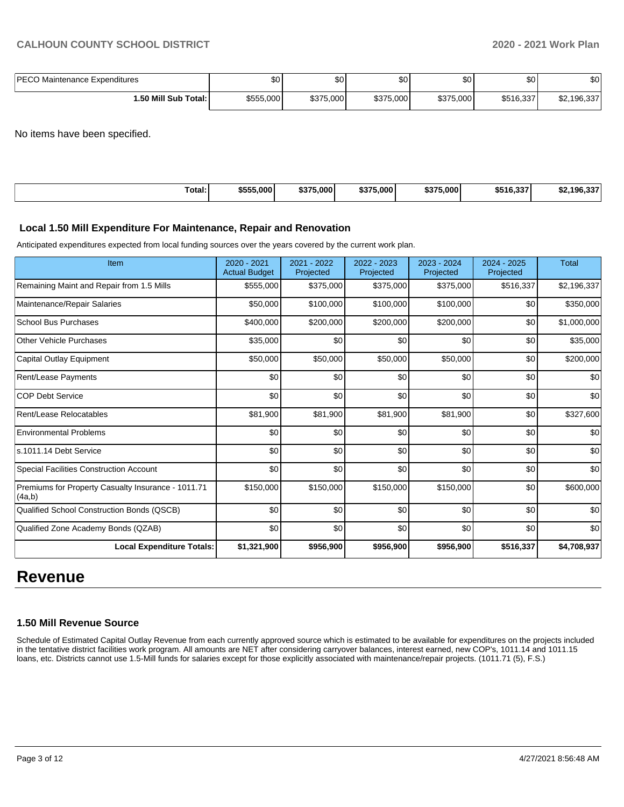| <b>PECO</b><br>0 Maintenance Expenditures | \$0       | $\sim$<br>υU | ሶስ<br>υU  | ሶሳ<br>ູບບ | \$0       | ו שפ                      |
|-------------------------------------------|-----------|--------------|-----------|-----------|-----------|---------------------------|
| 1.50 Mill Sub Total:                      | \$555,000 | \$375,000    | \$375,000 | \$375,000 | \$516.337 | \$2.106.337<br>22,190,331 |

No items have been specified.

| Total:<br>. | \$555,000 | \$375,000 | $/5.000$ <sup>1</sup><br>\$375 | \$375,000 | 0.00000<br>ა၁1ხ.337 | $\sim$<br>196.33.<br>ЭZ |
|-------------|-----------|-----------|--------------------------------|-----------|---------------------|-------------------------|
|             |           |           |                                |           |                     |                         |

#### **Local 1.50 Mill Expenditure For Maintenance, Repair and Renovation**

Anticipated expenditures expected from local funding sources over the years covered by the current work plan.

| Item                                                         | 2020 - 2021<br><b>Actual Budget</b> | 2021 - 2022<br>Projected | 2022 - 2023<br>Projected | 2023 - 2024<br>Projected | 2024 - 2025<br>Projected | <b>Total</b> |
|--------------------------------------------------------------|-------------------------------------|--------------------------|--------------------------|--------------------------|--------------------------|--------------|
| Remaining Maint and Repair from 1.5 Mills                    | \$555,000                           | \$375,000                | \$375,000                | \$375,000                | \$516,337                | \$2,196,337  |
| Maintenance/Repair Salaries                                  | \$50,000                            | \$100,000                | \$100,000                | \$100,000                | \$0                      | \$350,000    |
| <b>School Bus Purchases</b>                                  | \$400,000                           | \$200,000                | \$200,000                | \$200,000                | \$0                      | \$1,000,000  |
| <b>Other Vehicle Purchases</b>                               | \$35,000                            | \$0                      | \$0                      | \$0                      | \$0                      | \$35,000     |
| Capital Outlay Equipment                                     | \$50,000                            | \$50,000                 | \$50,000                 | \$50,000                 | \$0                      | \$200,000    |
| Rent/Lease Payments                                          | \$0                                 | \$0                      | \$0                      | \$0                      | \$0                      | \$0          |
| <b>COP Debt Service</b>                                      | \$0                                 | \$0                      | \$0                      | \$0                      | \$0                      | \$0          |
| Rent/Lease Relocatables                                      | \$81,900                            | \$81,900                 | \$81,900                 | \$81,900                 | \$0                      | \$327,600    |
| <b>Environmental Problems</b>                                | \$0                                 | \$0                      | \$0                      | \$0                      | \$0                      | \$0          |
| ls.1011.14 Debt Service                                      | \$0                                 | \$0                      | \$0                      | \$0                      | \$0                      | \$0          |
| <b>Special Facilities Construction Account</b>               | \$0                                 | \$0                      | \$0                      | \$0                      | \$0                      | \$0          |
| Premiums for Property Casualty Insurance - 1011.71<br>(4a,b) | \$150,000                           | \$150,000                | \$150,000                | \$150,000                | \$0                      | \$600,000    |
| Qualified School Construction Bonds (QSCB)                   | \$0                                 | \$0                      | \$0                      | \$0                      | \$0                      | \$0          |
| Qualified Zone Academy Bonds (QZAB)                          | \$0                                 | \$0                      | \$0                      | \$0                      | \$0                      | \$0          |
| <b>Local Expenditure Totals:</b>                             | \$1,321,900                         | \$956,900                | \$956,900                | \$956,900                | \$516,337                | \$4,708,937  |

# **Revenue**

## **1.50 Mill Revenue Source**

Schedule of Estimated Capital Outlay Revenue from each currently approved source which is estimated to be available for expenditures on the projects included in the tentative district facilities work program. All amounts are NET after considering carryover balances, interest earned, new COP's, 1011.14 and 1011.15 loans, etc. Districts cannot use 1.5-Mill funds for salaries except for those explicitly associated with maintenance/repair projects. (1011.71 (5), F.S.)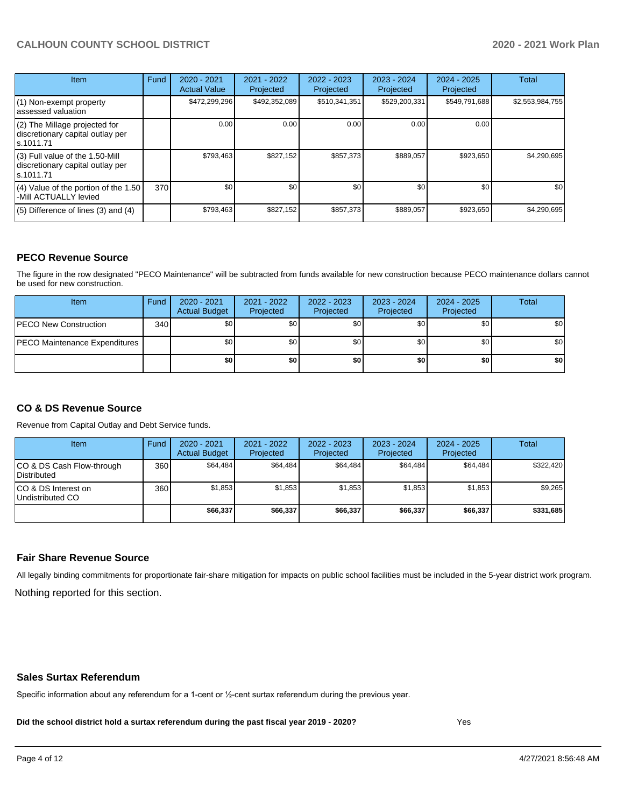| Item                                                                                | Fund | $2020 - 2021$<br><b>Actual Value</b> | $2021 - 2022$<br>Projected | $2022 - 2023$<br>Projected | 2023 - 2024<br>Projected | $2024 - 2025$<br>Projected | Total           |
|-------------------------------------------------------------------------------------|------|--------------------------------------|----------------------------|----------------------------|--------------------------|----------------------------|-----------------|
| (1) Non-exempt property<br>lassessed valuation                                      |      | \$472,299,296                        | \$492,352,089              | \$510,341,351              | \$529,200,331            | \$549,791,688              | \$2,553,984,755 |
| $(2)$ The Millage projected for<br>discretionary capital outlay per<br>ls.1011.71   |      | 0.00                                 | 0.00                       | 0.00                       | 0.00                     | 0.00                       |                 |
| $(3)$ Full value of the 1.50-Mill<br>discretionary capital outlay per<br>ls.1011.71 |      | \$793,463                            | \$827,152                  | \$857,373                  | \$889,057                | \$923,650                  | \$4,290,695     |
| $(4)$ Value of the portion of the 1.50<br>-Mill ACTUALLY levied                     | 370I | \$0 <sub>1</sub>                     | \$0                        | \$0                        | \$0                      | \$0                        | \$0             |
| $(5)$ Difference of lines (3) and (4)                                               |      | \$793,463                            | \$827,152                  | \$857,373                  | \$889,057                | \$923,650                  | \$4,290,695     |

## **PECO Revenue Source**

The figure in the row designated "PECO Maintenance" will be subtracted from funds available for new construction because PECO maintenance dollars cannot be used for new construction.

| Item                                 | Fund | $2020 - 2021$<br><b>Actual Budget</b> | 2021 - 2022<br>Projected | 2022 - 2023<br>Projected | 2023 - 2024<br>Projected | 2024 - 2025<br>Projected | Total            |
|--------------------------------------|------|---------------------------------------|--------------------------|--------------------------|--------------------------|--------------------------|------------------|
| <b>PECO New Construction</b>         | 340  | \$0                                   | \$0 <sub>1</sub>         | \$0                      | \$0 <sub>1</sub>         | \$0 <sub>1</sub>         | \$0 <sub>1</sub> |
| <b>PECO Maintenance Expenditures</b> |      | ا 30                                  | \$٥Ι                     | \$0                      | \$0 <sub>1</sub>         | \$0                      | \$0              |
|                                      |      | \$0                                   | \$0                      | \$0                      | \$0                      | \$0                      | \$0              |

# **CO & DS Revenue Source**

Revenue from Capital Outlay and Debt Service funds.

| Item                                      | Fund | $2020 - 2021$<br><b>Actual Budget</b> | 2021 - 2022<br>Projected | 2022 - 2023<br>Projected | $2023 - 2024$<br>Projected | $2024 - 2025$<br>Projected | Total     |
|-------------------------------------------|------|---------------------------------------|--------------------------|--------------------------|----------------------------|----------------------------|-----------|
| ICO & DS Cash Flow-through<br>Distributed | 360  | \$64.484                              | \$64.484                 | \$64.484                 | \$64.484                   | \$64.484                   | \$322,420 |
| ICO & DS Interest on<br>Undistributed CO  | 360  | \$1.853                               | \$1,853                  | \$1.853                  | \$1.853                    | \$1,853                    | \$9,265   |
|                                           |      | \$66,337                              | \$66,337                 | \$66,337                 | \$66,337                   | \$66,337                   | \$331,685 |

## **Fair Share Revenue Source**

Nothing reported for this section. All legally binding commitments for proportionate fair-share mitigation for impacts on public school facilities must be included in the 5-year district work program.

#### **Sales Surtax Referendum**

Specific information about any referendum for a 1-cent or ½-cent surtax referendum during the previous year.

**Did the school district hold a surtax referendum during the past fiscal year 2019 - 2020?**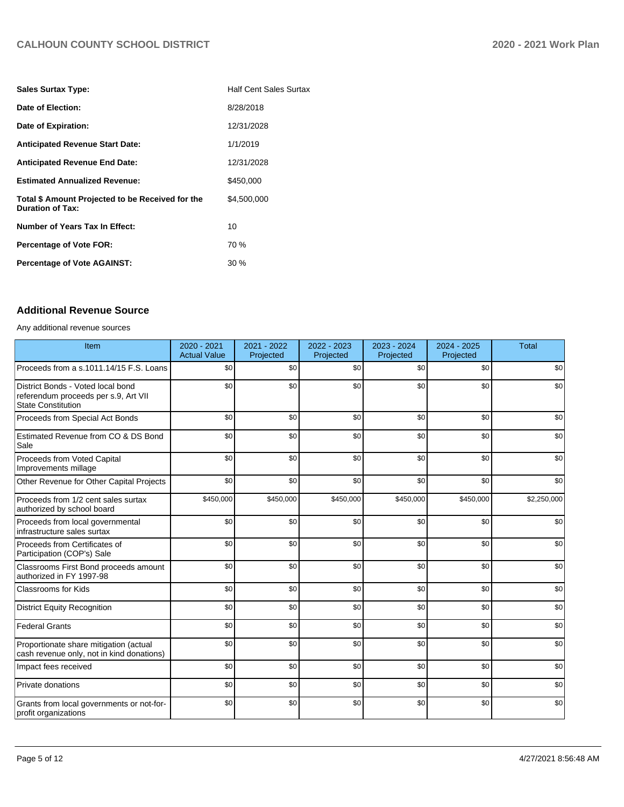| <b>Sales Surtax Type:</b>                                                   | <b>Half Cent Sales Surtax</b> |
|-----------------------------------------------------------------------------|-------------------------------|
| Date of Election:                                                           | 8/28/2018                     |
| Date of Expiration:                                                         | 12/31/2028                    |
| <b>Anticipated Revenue Start Date:</b>                                      | 1/1/2019                      |
| <b>Anticipated Revenue End Date:</b>                                        | 12/31/2028                    |
| <b>Estimated Annualized Revenue:</b>                                        | \$450,000                     |
| Total \$ Amount Projected to be Received for the<br><b>Duration of Tax:</b> | \$4.500.000                   |
| Number of Years Tax In Effect:                                              | 10                            |
| <b>Percentage of Vote FOR:</b>                                              | 70 %                          |
| <b>Percentage of Vote AGAINST:</b>                                          | $30\%$                        |

# **Additional Revenue Source**

Any additional revenue sources

| Item                                                                                                   | 2020 - 2021<br><b>Actual Value</b> | 2021 - 2022<br>Projected | 2022 - 2023<br>Projected | 2023 - 2024<br>Projected | 2024 - 2025<br>Projected | <b>Total</b> |
|--------------------------------------------------------------------------------------------------------|------------------------------------|--------------------------|--------------------------|--------------------------|--------------------------|--------------|
| Proceeds from a s.1011.14/15 F.S. Loans                                                                | \$0                                | \$0                      | \$0                      | \$0                      | \$0                      | \$0          |
| District Bonds - Voted local bond<br>referendum proceeds per s.9, Art VII<br><b>State Constitution</b> | \$0                                | \$0                      | \$0                      | \$0                      | \$0                      | \$0          |
| Proceeds from Special Act Bonds                                                                        | \$0                                | \$0                      | \$0                      | \$0                      | \$0                      | \$0          |
| Estimated Revenue from CO & DS Bond<br>Sale                                                            | \$0                                | \$0                      | \$0                      | \$0                      | \$0                      | \$0          |
| Proceeds from Voted Capital<br>Improvements millage                                                    | \$0                                | \$0                      | \$0                      | \$0                      | \$0                      | \$0          |
| Other Revenue for Other Capital Projects                                                               | \$0                                | \$0                      | \$0                      | \$0                      | \$0                      | \$0          |
| Proceeds from 1/2 cent sales surtax<br>authorized by school board                                      | \$450,000                          | \$450,000                | \$450,000                | \$450,000                | \$450,000                | \$2,250,000  |
| Proceeds from local governmental<br>infrastructure sales surtax                                        | \$0                                | \$0                      | \$0                      | \$0                      | \$0                      | \$0          |
| Proceeds from Certificates of<br>Participation (COP's) Sale                                            | \$0                                | \$0                      | \$0                      | \$0                      | \$0                      | \$0          |
| Classrooms First Bond proceeds amount<br>authorized in FY 1997-98                                      | \$0                                | \$0                      | \$0                      | \$0                      | \$0                      | \$0          |
| <b>Classrooms for Kids</b>                                                                             | \$0                                | \$0                      | \$0                      | \$0                      | \$0                      | \$0          |
| <b>District Equity Recognition</b>                                                                     | \$0                                | \$0                      | \$0                      | \$0                      | \$0                      | \$0          |
| <b>Federal Grants</b>                                                                                  | \$0                                | \$0                      | \$0                      | \$0                      | \$0                      | \$0          |
| Proportionate share mitigation (actual<br>cash revenue only, not in kind donations)                    | \$0                                | \$0                      | \$0                      | \$0                      | \$0                      | \$0          |
| Impact fees received                                                                                   | \$0                                | \$0                      | \$0                      | \$0                      | \$0                      | \$0          |
| Private donations                                                                                      | \$0                                | \$0                      | \$0                      | \$0                      | \$0                      | \$0          |
| Grants from local governments or not-for-<br>profit organizations                                      | \$0                                | \$0                      | \$0                      | \$0                      | \$0                      | \$0          |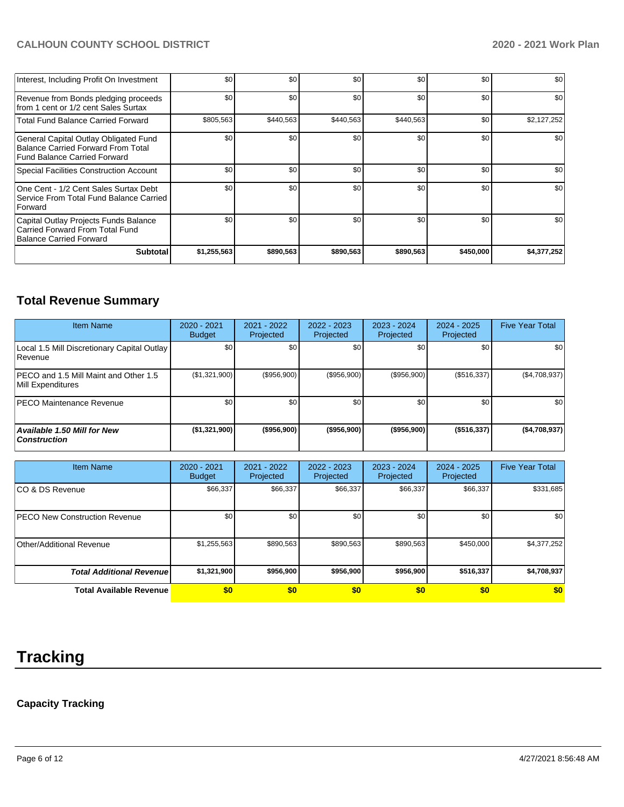| Interest, Including Profit On Investment                                                                                  | \$0         | \$0       | \$0       | \$0       | \$0       | \$0         |
|---------------------------------------------------------------------------------------------------------------------------|-------------|-----------|-----------|-----------|-----------|-------------|
| Revenue from Bonds pledging proceeds<br>from 1 cent or 1/2 cent Sales Surtax                                              | \$0         | \$0       | \$0       | \$0       | \$0       | \$0         |
| <b>Total Fund Balance Carried Forward</b>                                                                                 | \$805,563   | \$440,563 | \$440,563 | \$440,563 | \$0       | \$2,127,252 |
| General Capital Outlay Obligated Fund<br><b>Balance Carried Forward From Total</b><br><b>Fund Balance Carried Forward</b> | \$0         | \$0       | \$0       | \$0       | \$0       | \$0         |
| Special Facilities Construction Account                                                                                   | \$0         | \$0       | \$0       | \$0       | \$0       | \$0         |
| One Cent - 1/2 Cent Sales Surtax Debt<br>Service From Total Fund Balance Carried<br>Forward                               | \$0         | \$0       | \$0       | \$0       | \$0       | \$0         |
| Capital Outlay Projects Funds Balance<br>Carried Forward From Total Fund<br>Balance Carried Forward                       | \$0         | \$0       | \$0       | \$0       | \$0       | \$0         |
| <b>Subtotal</b>                                                                                                           | \$1,255,563 | \$890,563 | \$890,563 | \$890,563 | \$450,000 | \$4,377,252 |

# **Total Revenue Summary**

| <b>Item Name</b>                                           | $2020 - 2021$<br>Budget | $2021 - 2022$<br>Projected | 2022 - 2023<br>Projected | $2023 - 2024$<br>Projected | 2024 - 2025<br>Projected | <b>Five Year Total</b> |
|------------------------------------------------------------|-------------------------|----------------------------|--------------------------|----------------------------|--------------------------|------------------------|
| Local 1.5 Mill Discretionary Capital Outlay<br>Revenue     | \$0                     | \$0                        | \$0                      | \$0                        | \$0                      | \$0                    |
| PECO and 1.5 Mill Maint and Other 1.5<br>Mill Expenditures | (\$1,321,900)           | (\$956,900)                | (\$956,900)              | (\$956,900)                | (\$516,337)              | (\$4,708,937)          |
| <b>PECO Maintenance Revenue</b>                            | \$0 <sub>1</sub>        | \$0                        | \$0                      | \$0                        | \$0                      | \$0                    |
| Available 1.50 Mill for New<br>  Construction              | (\$1,321,900)           | (\$956,900)                | ( \$956, 900)            | $($ \$956,900)             | ( \$516, 337)            | ( \$4,708,937)         |

| <b>Item Name</b>                      | 2020 - 2021<br><b>Budget</b> | $2021 - 2022$<br>Projected | 2022 - 2023<br>Projected | $2023 - 2024$<br>Projected | 2024 - 2025<br>Projected | <b>Five Year Total</b> |
|---------------------------------------|------------------------------|----------------------------|--------------------------|----------------------------|--------------------------|------------------------|
| ICO & DS Revenue                      | \$66,337                     | \$66,337                   | \$66,337                 | \$66,337                   | \$66,337                 | \$331,685              |
| <b>IPECO New Construction Revenue</b> | \$0                          | \$0                        | \$0                      | \$0                        | \$0                      | \$0                    |
| Other/Additional Revenue              | \$1,255,563                  | \$890,563                  | \$890,563                | \$890,563                  | \$450,000                | \$4,377,252            |
| <b>Total Additional Revenuel</b>      | \$1,321,900                  | \$956,900                  | \$956,900                | \$956,900                  | \$516,337                | \$4,708,937            |
| <b>Total Available Revenue</b>        | \$0                          | \$0                        | \$0                      | \$0                        | \$0                      | \$0                    |

# **Tracking**

# **Capacity Tracking**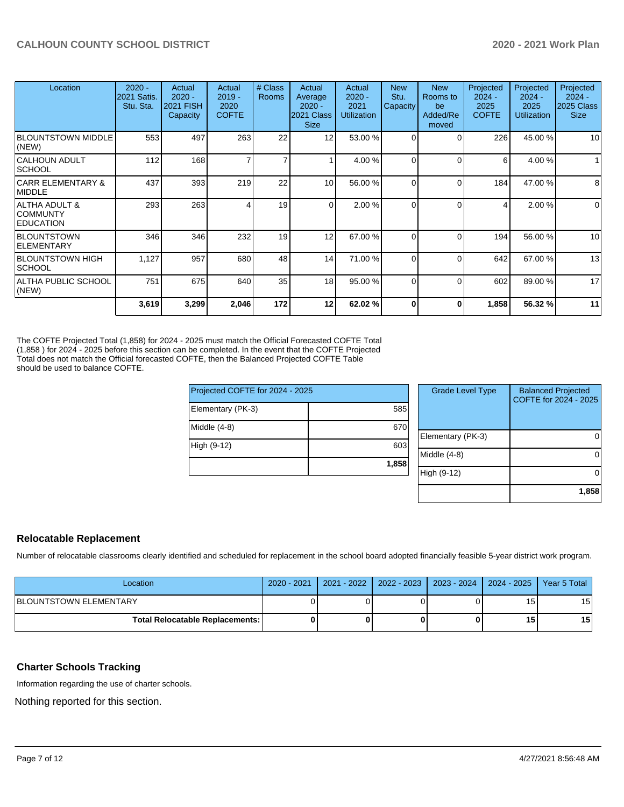| Location                                                        | $2020 -$<br>2021 Satis.<br>Stu. Sta. | Actual<br>$2020 -$<br>2021 FISH<br>Capacity | Actual<br>$2019 -$<br>2020<br><b>COFTE</b> | # Class<br><b>Rooms</b> | Actual<br>Average<br>$2020 -$<br>2021 Class<br><b>Size</b> | Actual<br>$2020 -$<br>2021<br><b>Utilization</b> | <b>New</b><br>Stu.<br>Capacity | <b>New</b><br>Rooms to<br>be<br>Added/Re<br>moved | Projected<br>$2024 -$<br>2025<br><b>COFTE</b> | Projected<br>$2024 -$<br>2025<br><b>Utilization</b> | Projected<br>$2024 -$<br>2025 Class<br><b>Size</b> |
|-----------------------------------------------------------------|--------------------------------------|---------------------------------------------|--------------------------------------------|-------------------------|------------------------------------------------------------|--------------------------------------------------|--------------------------------|---------------------------------------------------|-----------------------------------------------|-----------------------------------------------------|----------------------------------------------------|
| <b>BLOUNTSTOWN MIDDLE</b><br>(NEW)                              | 553                                  | 497                                         | 263                                        | 22                      | 12                                                         | 53.00 %                                          | 0                              | 0                                                 | 226                                           | 45.00 %                                             | 10                                                 |
| <b>CALHOUN ADULT</b><br><b>SCHOOL</b>                           | 112                                  | 168                                         |                                            | 7                       |                                                            | 4.00 %                                           | $\Omega$                       | $\Omega$                                          | 6                                             | 4.00 %                                              |                                                    |
| <b>CARR ELEMENTARY &amp;</b><br><b>MIDDLE</b>                   | 437                                  | 393                                         | 219                                        | 22                      | 10                                                         | 56.00 %                                          | 0                              | $\Omega$                                          | 184                                           | 47.00 %                                             | 8                                                  |
| <b>ALTHA ADULT &amp;</b><br><b>COMMUNTY</b><br><b>EDUCATION</b> | 293                                  | 263                                         |                                            | 19                      | $\overline{0}$                                             | 2.00 %                                           | 0                              | $\Omega$                                          | 4                                             | 2.00 %                                              | $\mathbf 0$                                        |
| <b>BLOUNTSTOWN</b><br><b>ELEMENTARY</b>                         | 346                                  | 346                                         | 232                                        | 19                      | 12                                                         | 67.00 %                                          | 0                              | $\Omega$                                          | 194                                           | 56.00 %                                             | 10                                                 |
| <b>BLOUNTSTOWN HIGH</b><br><b>SCHOOL</b>                        | 1,127                                | 957                                         | 680                                        | 48                      | 14                                                         | 71.00 %                                          | 0                              | $\Omega$                                          | 642                                           | 67.00 %                                             | 13                                                 |
| ALTHA PUBLIC SCHOOL<br>(NEW)                                    | 751                                  | 675                                         | 640                                        | 35                      | 18                                                         | 95.00 %                                          | 0                              | $\Omega$                                          | 602                                           | 89.00 %                                             | 17                                                 |
|                                                                 | 3,619                                | 3,299                                       | 2,046                                      | 172                     | 12                                                         | 62.02 %                                          | 0                              | 0                                                 | 1,858                                         | 56.32 %                                             | 11                                                 |

The COFTE Projected Total (1,858) for 2024 - 2025 must match the Official Forecasted COFTE Total (1,858 ) for 2024 - 2025 before this section can be completed. In the event that the COFTE Projected Total does not match the Official forecasted COFTE, then the Balanced Projected COFTE Table should be used to balance COFTE.

| Middle (4-8) | 670 |
|--------------|-----|
| High (9-12)  | 603 |
|              |     |

| <b>Grade Level Type</b> | <b>Balanced Projected</b><br>COFTE for 2024 - 2025 |
|-------------------------|----------------------------------------------------|
| Elementary (PK-3)       |                                                    |
| Middle $(4-8)$          |                                                    |
| High (9-12)             |                                                    |
|                         | 1,858                                              |

## **Relocatable Replacement**

Number of relocatable classrooms clearly identified and scheduled for replacement in the school board adopted financially feasible 5-year district work program.

| Location                        | 2020 - 2021 |  | 2021 - 2022   2022 - 2023   2023 - 2024   2024 - 2025   Year 5 Total |                 |                 |
|---------------------------------|-------------|--|----------------------------------------------------------------------|-----------------|-----------------|
| <b>IBLOUNTSTOWN ELEMENTARY</b>  |             |  |                                                                      | 15 <sub>1</sub> | 15              |
| Total Relocatable Replacements: |             |  |                                                                      | 15              | 15 <sup>1</sup> |

# **Charter Schools Tracking**

Information regarding the use of charter schools.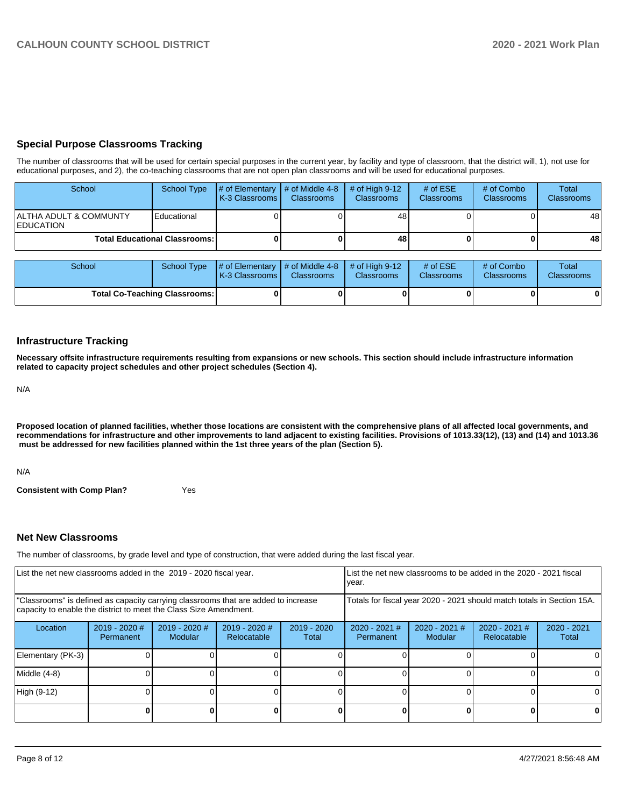# **Special Purpose Classrooms Tracking**

The number of classrooms that will be used for certain special purposes in the current year, by facility and type of classroom, that the district will, 1), not use for educational purposes, and 2), the co-teaching classrooms that are not open plan classrooms and will be used for educational purposes.

| School                                     | School Type                            | $\parallel$ # of Elementary $\parallel$ # of Middle 4-8 $\parallel$<br><b>IK-3 Classrooms L</b> | <b>Classrooms</b> | $\#$ of High 9-12<br><b>Classrooms</b> | # of $ESE$<br>Classrooms | # of Combo<br><b>Classrooms</b> | Total<br><b>Classrooms</b> |
|--------------------------------------------|----------------------------------------|-------------------------------------------------------------------------------------------------|-------------------|----------------------------------------|--------------------------|---------------------------------|----------------------------|
| ALTHA ADULT & COMMUNTY<br><b>EDUCATION</b> | Educational                            |                                                                                                 |                   | 48                                     |                          |                                 | 48                         |
|                                            | <b>Total Educational Classrooms: I</b> |                                                                                                 |                   | 48                                     |                          |                                 | 48                         |

| School                               | School Type | $\sharp$ of Elementary $\sharp$ of Middle 4-8 $\sharp$ of High 9-12<br><b>K-3 Classrooms I</b> | <b>Classrooms</b> | <b>Classrooms</b> | # of $ESE$<br><b>Classrooms</b> | # of Combo<br><b>Classrooms</b> | Total<br><b>Classrooms</b> |
|--------------------------------------|-------------|------------------------------------------------------------------------------------------------|-------------------|-------------------|---------------------------------|---------------------------------|----------------------------|
| <b>Total Co-Teaching Classrooms:</b> |             |                                                                                                | 0                 |                   |                                 |                                 | 0                          |

## **Infrastructure Tracking**

**Necessary offsite infrastructure requirements resulting from expansions or new schools. This section should include infrastructure information related to capacity project schedules and other project schedules (Section 4).** 

N/A

**Proposed location of planned facilities, whether those locations are consistent with the comprehensive plans of all affected local governments, and recommendations for infrastructure and other improvements to land adjacent to existing facilities. Provisions of 1013.33(12), (13) and (14) and 1013.36** must be addressed for new facilities planned within the 1st three years of the plan (Section 5).

N/A

**Consistent with Comp Plan?** Yes

## **Net New Classrooms**

The number of classrooms, by grade level and type of construction, that were added during the last fiscal year.

| List the net new classrooms added in the 2019 - 2020 fiscal year.                                                                                       |                              |                                   |                                | List the net new classrooms to be added in the 2020 - 2021 fiscal<br>year. |                                                                        |                          |                              |                        |
|---------------------------------------------------------------------------------------------------------------------------------------------------------|------------------------------|-----------------------------------|--------------------------------|----------------------------------------------------------------------------|------------------------------------------------------------------------|--------------------------|------------------------------|------------------------|
| "Classrooms" is defined as capacity carrying classrooms that are added to increase<br>capacity to enable the district to meet the Class Size Amendment. |                              |                                   |                                |                                                                            | Totals for fiscal year 2020 - 2021 should match totals in Section 15A. |                          |                              |                        |
| Location                                                                                                                                                | $2019 - 2020$ #<br>Permanent | $2019 - 2020$ #<br><b>Modular</b> | $2019 - 2020$ #<br>Relocatable | $2019 - 2020$<br>Total                                                     | $2020 - 2021$ #<br>Permanent                                           | 2020 - 2021 #<br>Modular | 2020 - 2021 #<br>Relocatable | $2020 - 2021$<br>Total |
| Elementary (PK-3)                                                                                                                                       |                              |                                   |                                |                                                                            |                                                                        |                          |                              |                        |
| Middle (4-8)                                                                                                                                            |                              |                                   |                                |                                                                            |                                                                        |                          |                              | ΩI                     |
| High (9-12)                                                                                                                                             |                              |                                   |                                |                                                                            |                                                                        |                          |                              |                        |
|                                                                                                                                                         |                              |                                   |                                |                                                                            |                                                                        |                          | U                            | 0                      |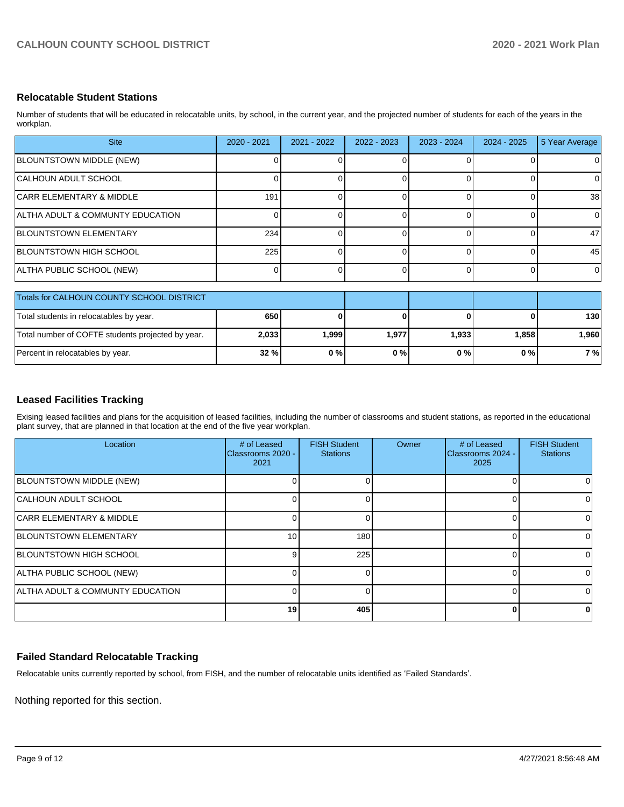# **Relocatable Student Stations**

Number of students that will be educated in relocatable units, by school, in the current year, and the projected number of students for each of the years in the workplan.

| <b>Site</b>                                       | 2020 - 2021 | $2021 - 2022$ | 2022 - 2023 | 2023 - 2024 | 2024 - 2025 | 5 Year Average |
|---------------------------------------------------|-------------|---------------|-------------|-------------|-------------|----------------|
| BLOUNTSTOWN MIDDLE (NEW)                          |             |               |             |             |             | $\Omega$       |
| CALHOUN ADULT SCHOOL                              |             |               |             |             |             | 0              |
| <b>CARR ELEMENTARY &amp; MIDDLE</b>               | 191         |               |             |             |             | 38             |
| ALTHA ADULT & COMMUNTY EDUCATION                  |             |               | U.          | ∩           |             | $\Omega$       |
| BLOUNTSTOWN ELEMENTARY                            | 234         |               |             |             |             | 47             |
| BLOUNTSTOWN HIGH SCHOOL                           | 225         |               | 0           | 0           |             | 45             |
| ALTHA PUBLIC SCHOOL (NEW)                         |             |               | 0           | $\Omega$    |             | $\Omega$       |
| Totals for CALHOUN COUNTY SCHOOL DISTRICT         |             |               |             |             |             |                |
| Total students in relocatables by year.           | 650         |               | O           | ŋ           |             | 130            |
| Total number of COFTE students projected by year. | 2,033       | 1,999         | 1,977       | 1,933       | 1,858       | 1,960          |

# **Leased Facilities Tracking**

Exising leased facilities and plans for the acquisition of leased facilities, including the number of classrooms and student stations, as reported in the educational plant survey, that are planned in that location at the end of the five year workplan.

Percent in relocatables by year. **32 % 0 % 0 % 0 % 0 % 7 %**

| Location                                    | # of Leased<br>Classrooms 2020 -<br>2021 | <b>FISH Student</b><br><b>Stations</b> | Owner | # of Leased<br>Classrooms 2024 -<br>2025 | <b>FISH Student</b><br><b>Stations</b> |
|---------------------------------------------|------------------------------------------|----------------------------------------|-------|------------------------------------------|----------------------------------------|
| BLOUNTSTOWN MIDDLE (NEW)                    |                                          |                                        |       |                                          |                                        |
| <b>CALHOUN ADULT SCHOOL</b>                 | U                                        |                                        |       |                                          | <sup>0</sup>                           |
| <b>CARR ELEMENTARY &amp; MIDDLE</b>         | 0                                        |                                        |       |                                          | <sup>0</sup>                           |
| <b>BLOUNTSTOWN ELEMENTARY</b>               | 10 <sup>1</sup>                          | 180                                    |       |                                          | 0                                      |
| <b>BLOUNTSTOWN HIGH SCHOOL</b>              | 9                                        | 225                                    |       |                                          | 0                                      |
| ALTHA PUBLIC SCHOOL (NEW)                   |                                          |                                        |       |                                          | <sup>0</sup>                           |
| <b>ALTHA ADULT &amp; COMMUNTY EDUCATION</b> |                                          |                                        |       |                                          | U                                      |
|                                             | 19                                       | 405                                    |       |                                          | 0                                      |

# **Failed Standard Relocatable Tracking**

Relocatable units currently reported by school, from FISH, and the number of relocatable units identified as 'Failed Standards'.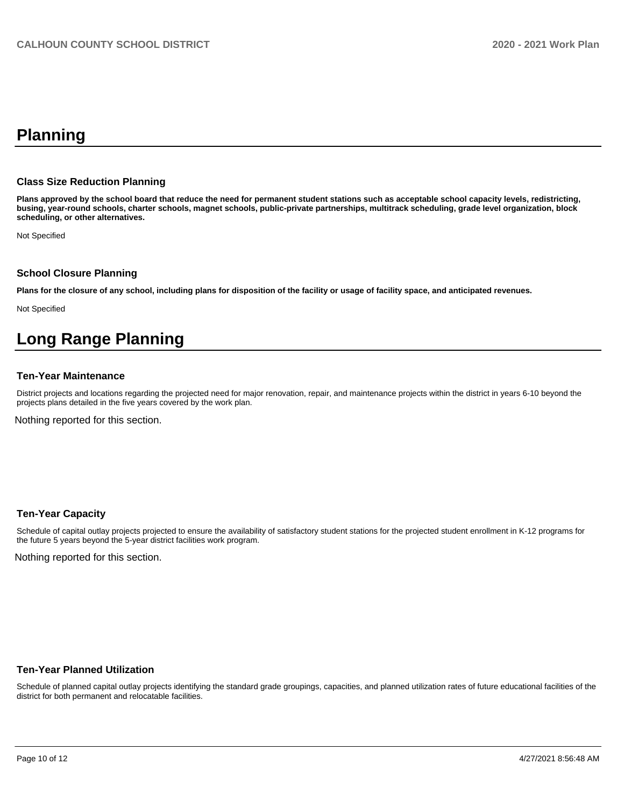# **Planning**

#### **Class Size Reduction Planning**

**Plans approved by the school board that reduce the need for permanent student stations such as acceptable school capacity levels, redistricting, busing, year-round schools, charter schools, magnet schools, public-private partnerships, multitrack scheduling, grade level organization, block scheduling, or other alternatives.**

Not Specified

#### **School Closure Planning**

**Plans for the closure of any school, including plans for disposition of the facility or usage of facility space, and anticipated revenues.** 

Not Specified

# **Long Range Planning**

#### **Ten-Year Maintenance**

District projects and locations regarding the projected need for major renovation, repair, and maintenance projects within the district in years 6-10 beyond the projects plans detailed in the five years covered by the work plan.

Nothing reported for this section.

#### **Ten-Year Capacity**

Schedule of capital outlay projects projected to ensure the availability of satisfactory student stations for the projected student enrollment in K-12 programs for the future 5 years beyond the 5-year district facilities work program.

Nothing reported for this section.

#### **Ten-Year Planned Utilization**

Schedule of planned capital outlay projects identifying the standard grade groupings, capacities, and planned utilization rates of future educational facilities of the district for both permanent and relocatable facilities.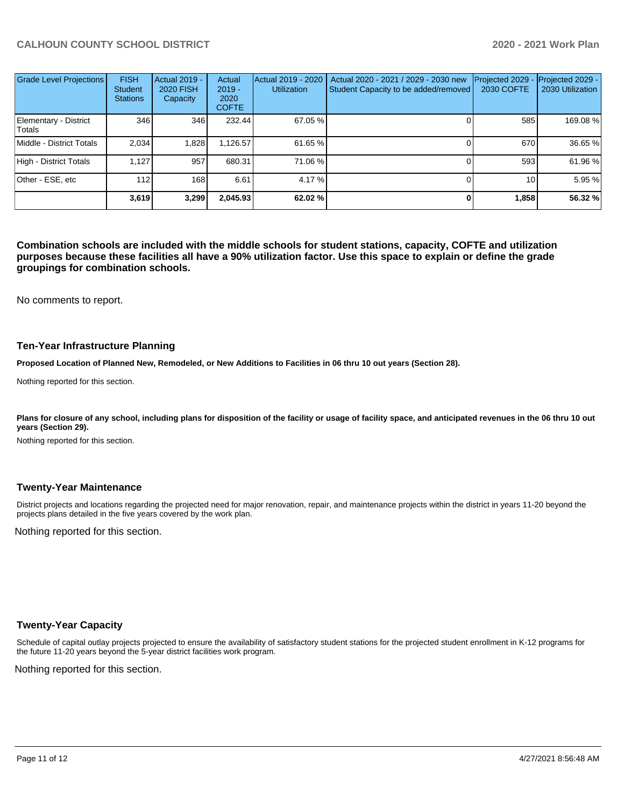| <b>Grade Level Projections</b>  | <b>FISH</b><br><b>Student</b><br><b>Stations</b> | Actual 2019 -<br><b>2020 FISH</b><br>Capacity | Actual<br>$2019 -$<br>2020<br><b>COFTE</b> | Actual 2019 - 2020<br><b>Utilization</b> | Actual 2020 - 2021 / 2029 - 2030 new<br>Student Capacity to be added/removed | Projected 2029<br><b>2030 COFTE</b> | Projected 2029 -<br>2030 Utilization |
|---------------------------------|--------------------------------------------------|-----------------------------------------------|--------------------------------------------|------------------------------------------|------------------------------------------------------------------------------|-------------------------------------|--------------------------------------|
| Elementary - District<br>Totals | 346                                              | 346                                           | 232.44                                     | 67.05 %                                  |                                                                              | 585                                 | 169.08 %                             |
| Middle - District Totals        | 2.034                                            | 1,828                                         | 1,126.57                                   | 61.65 %                                  |                                                                              | 670                                 | 36.65 %                              |
| High - District Totals          | 1.127                                            | 957                                           | 680.31                                     | 71.06 %                                  |                                                                              | 593                                 | 61.96 %                              |
| Other - ESE, etc                | 112                                              | 168                                           | 6.61                                       | 4.17 %                                   |                                                                              | 10 <sub>1</sub>                     | 5.95 %                               |
|                                 | 3,619                                            | 3,299                                         | 2,045.93                                   | 62.02 %                                  |                                                                              | 1,858                               | 56.32 %                              |

**Combination schools are included with the middle schools for student stations, capacity, COFTE and utilization purposes because these facilities all have a 90% utilization factor. Use this space to explain or define the grade groupings for combination schools.** 

No comments to report.

#### **Ten-Year Infrastructure Planning**

**Proposed Location of Planned New, Remodeled, or New Additions to Facilities in 06 thru 10 out years (Section 28).**

Nothing reported for this section.

Plans for closure of any school, including plans for disposition of the facility or usage of facility space, and anticipated revenues in the 06 thru 10 out **years (Section 29).**

Nothing reported for this section.

#### **Twenty-Year Maintenance**

District projects and locations regarding the projected need for major renovation, repair, and maintenance projects within the district in years 11-20 beyond the projects plans detailed in the five years covered by the work plan.

Nothing reported for this section.

## **Twenty-Year Capacity**

Schedule of capital outlay projects projected to ensure the availability of satisfactory student stations for the projected student enrollment in K-12 programs for the future 11-20 years beyond the 5-year district facilities work program.